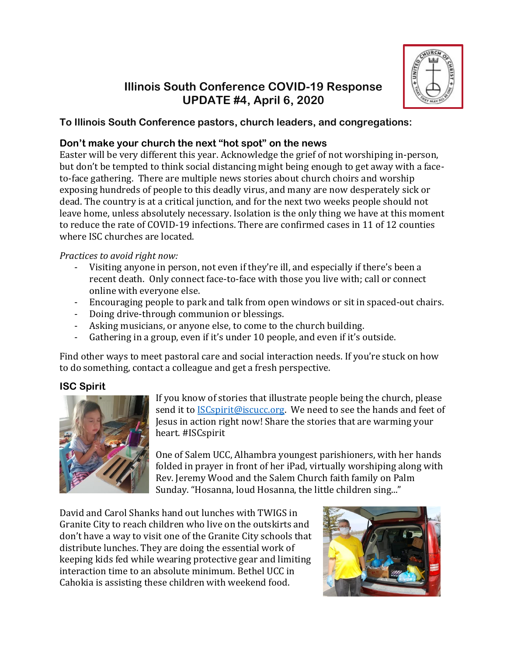

# **Illinois South Conference COVID-19 Response UPDATE #4, April 6, 2020**

**To Illinois South Conference pastors, church leaders, and congregations:**

# **Don't make your church the next "hot spot" on the news**

Easter will be very different this year. Acknowledge the grief of not worshiping in-person, but don't be tempted to think social distancing might being enough to get away with a faceto-face gathering. There are multiple news stories about church choirs and worship exposing hundreds of people to this deadly virus, and many are now desperately sick or dead. The country is at a critical junction, and for the next two weeks people should not leave home, unless absolutely necessary. Isolation is the only thing we have at this moment to reduce the rate of COVID-19 infections. There are confirmed cases in 11 of 12 counties where ISC churches are located.

### *Practices to avoid right now:*

- Visiting anyone in person, not even if they're ill, and especially if there's been a recent death. Only connect face-to-face with those you live with; call or connect online with everyone else.
- Encouraging people to park and talk from open windows or sit in spaced-out chairs.
- Doing drive-through communion or blessings.
- Asking musicians, or anyone else, to come to the church building.
- Gathering in a group, even if it's under 10 people, and even if it's outside.

Find other ways to meet pastoral care and social interaction needs. If you're stuck on how to do something, contact a colleague and get a fresh perspective.

# **ISC Spirit**



If you know of stories that illustrate people being the church, please send it to **ISCspirit@iscucc.org**. We need to see the hands and feet of Jesus in action right now! Share the stories that are warming your heart. #ISCspirit

One of Salem UCC, Alhambra youngest parishioners, with her hands folded in prayer in front of her iPad, virtually worshiping along with Rev. Jeremy Wood and the Salem Church faith family on Palm Sunday. "Hosanna, loud Hosanna, the little children sing..."

David and Carol Shanks hand out lunches with TWIGS in Granite City to reach children who live on the outskirts and don't have a way to visit one of the Granite City schools that distribute lunches. They are doing the essential work of keeping kids fed while wearing protective gear and limiting interaction time to an absolute minimum. Bethel UCC in Cahokia is assisting these children with weekend food.